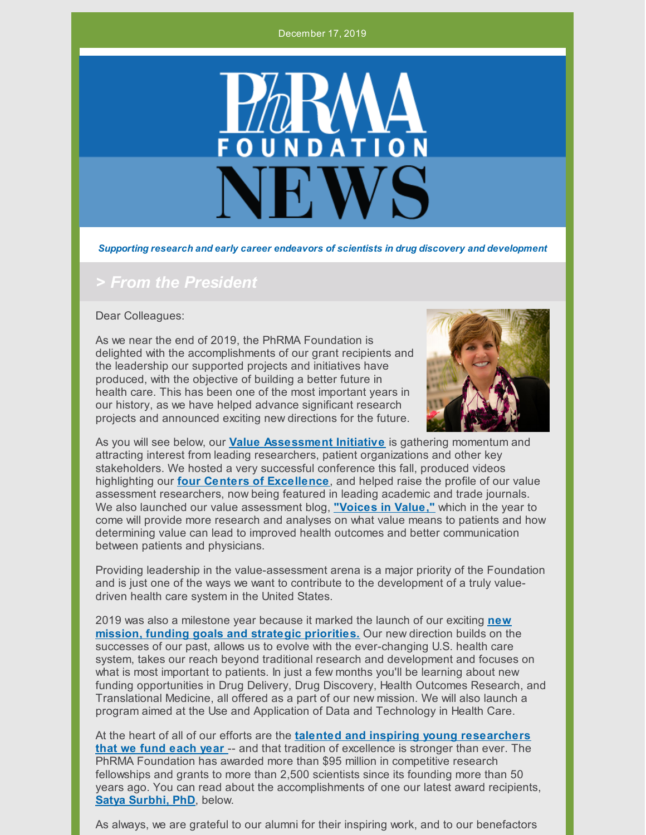#### December 17, 2019



*Supporting research and early career endeavors of scientists in drug discovery and development*

#### *> From the President*

Dear Colleagues:

As we near the end of 2019, the PhRMA Foundation is delighted with the accomplishments of our grant recipients and the leadership our supported projects and initiatives have produced, with the objective of building a better future in health care. This has been one of the most important years in our history, as we have helped advance significant research projects and announced exciting new directions for the future.



As you will see below, our **Value [Assessment](http://www.phrmafoundation.org/about-the-phrma-foundations-value-assessment-initiative/) Initiative** is gathering momentum and attracting interest from leading researchers, patient organizations and other key stakeholders. We hosted a very successful conference this fall, produced videos highlighting our **four Centers of [Excellence](http://www.phrmafoundation.org/centers-of-excellence-in-value-assessment/)**, and helped raise the profile of our value assessment researchers, now being featured in leading academic and trade journals. We also launched our value assessment blog, **["Voices](http://www.phrmafoundation.org/blog/) in Value,"** which in the year to come will provide more research and analyses on what value means to patients and how determining value can lead to improved health outcomes and better communication between patients and physicians.

Providing leadership in the value-assessment arena is a major priority of the Foundation and is just one of the ways we want to contribute to the development of a truly valuedriven health care system in the United States.

2019 was also a milestone year because it marked the launch of our exciting **new mission, funding goals and strategic [priorities.](http://www.phrmafoundation.org/the-mission-of-the-phrma-foundation/)** Our new direction builds on the successes of our past, allows us to evolve with the ever-changing U.S. health care system, takes our reach beyond traditional research and development and focuses on what is most important to patients. In just a few months you'll be learning about new funding opportunities in Drug Delivery, Drug Discovery, Health Outcomes Research, and Translational Medicine, all offered as a part of our new mission. We will also launch a program aimed at the Use and Application of Data and Technology in Health Care.

At the heart of all of our efforts are the **talented and inspiring young [researchers](http://www.phrmafoundation.org/congratulations-to-our-2019-award-recipients/) that we fund each year** -- and that tradition of excellence is stronger than ever. The PhRMA Foundation has awarded more than \$95 million in competitive research fellowships and grants to more than 2,500 scientists since its founding more than 50 years ago. You can read about the accomplishments of one our latest award recipients, **Satya [Surbhi,](https://news.uthsc.edu/satya-surbhi-phd-developing-methods-to-improve-health-outcomes-for-low-income-patients-with-chronic-diseases/) PhD**, below.

As always, we are grateful to our alumni for their inspiring work, and to our benefactors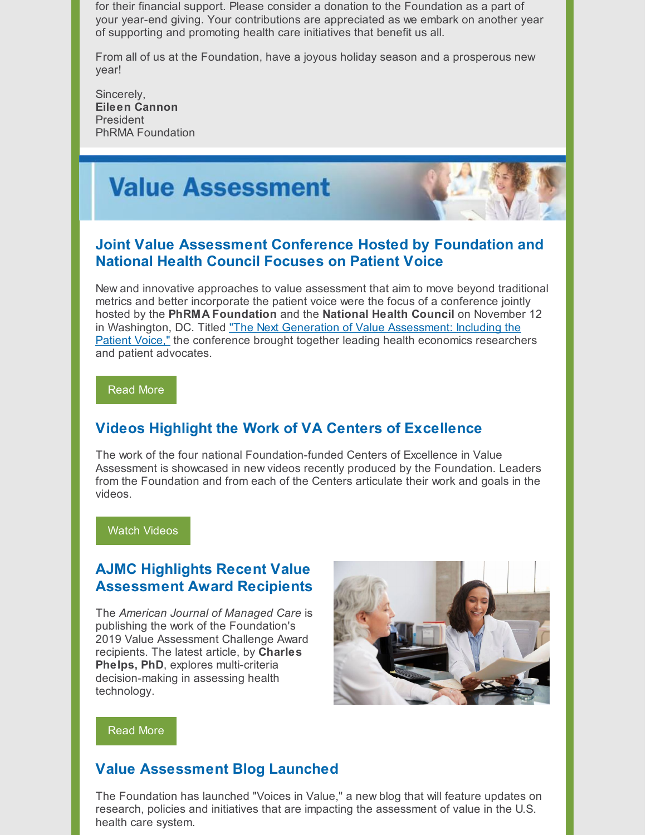for their financial support. Please consider a donation to the Foundation as a part of your year-end giving. Your contributions are appreciated as we embark on another year of supporting and promoting health care initiatives that benefit us all.

From all of us at the Foundation, have a joyous holiday season and a prosperous new year!

Sincerely, **Eileen Cannon** President PhRMA Foundation

# **Value Assessment**



### **Joint Value Assessment Conference Hosted by Foundation and National Health Council Focuses on Patient Voice**

New and innovative approaches to value assessment that aim to move beyond traditional metrics and better incorporate the patient voice were the focus of a conference jointly hosted by the **PhRMA Foundation** and the **National Health Council** on November 12 in Washington, DC. Titled "The Next Generation of Value [Assessment:](http://www.phrmafoundation.org/wp-content/uploads/2019/11/Final-Conference-Slides_Including-the-Patient-Voice.pdf) Including the Patient Voice," the conference brought together leading health economics researchers and patient advocates.

[Read](http://www.phrmafoundation.org/wp-content/uploads/2019/11/Conference-Day-of-Press-Release_VA-111219.pdf) More

## **Videos Highlight the Work of VA Centers of Excellence**

The work of the four national Foundation-funded Centers of Excellence in Value Assessment is showcased in new videos recently produced by the Foundation. Leaders from the Foundation and from each of the Centers articulate their work and goals in the videos.

#### Watch [Videos](http://www.phrmafoundation.org/videos-highlight-the-work-of-value-assessment-centers-of-excellence/)

#### **AJMC Highlights Recent Value Assessment Award Recipients**

The *American Journal of Managed Care* is publishing the work of the Foundation's 2019 Value Assessment Challenge Award recipients. The latest article, by **Charles Phelps, PhD**, explores multi-criteria decision-making in assessing health technology.



[Read](http://www.phrmafoundation.org/ajmc-publishes-foundation-challenge-award-recipients-proposals/) More

#### **Value Assessment Blog Launched**

The Foundation has launched "Voices in Value," a new blog that will feature updates on research, policies and initiatives that are impacting the assessment of value in the U.S. health care system.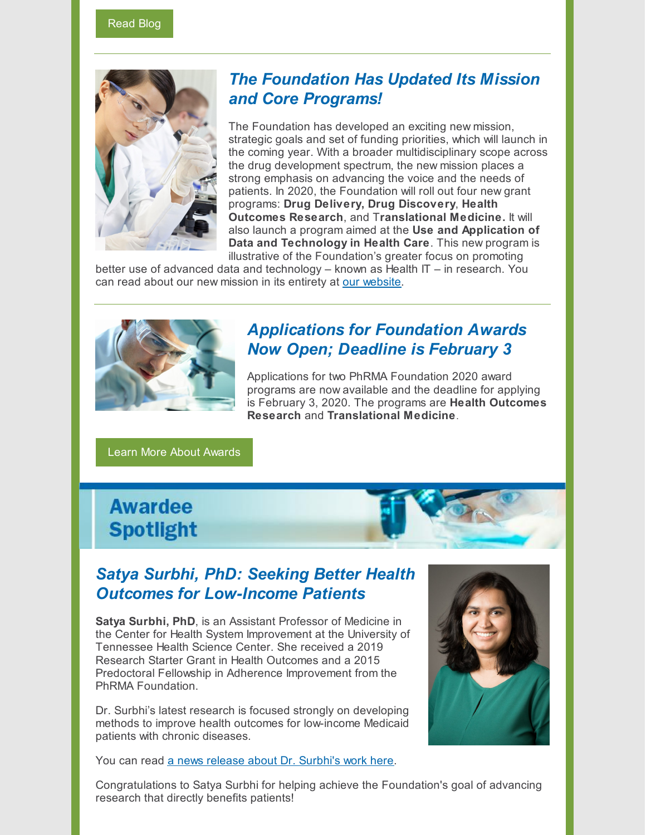

## *The Foundation Has Updated Its Mission and Core Programs!*

The Foundation has developed an exciting new mission, strategic goals and set of funding priorities, which will launch in the coming year. With a broader multidisciplinary scope across the drug development spectrum, the new mission places a strong emphasis on advancing the voice and the needs of patients. In 2020, the Foundation will roll out four new grant programs: **Drug Delivery, Drug Discovery**, **Health Outcomes Research**, and T**ranslational Medicine.** It will also launch a program aimed at the **Use and Application of Data and Technology in Health Care**. This new program is illustrative of the Foundation's greater focus on promoting

better use of advanced data and technology – known as Health IT – in research. You can read about our new mission in its entirety at our [website](http://www.phrmafoundation.org/the-mission-of-the-phrma-foundation/).



## *Applications for Foundation Awards Now Open; Deadline is February 3*

Applications for two PhRMA Foundation 2020 award programs are now available and the deadline for applying is February 3, 2020. The programs are **Health Outcomes Research** and **Translational Medicine**.

Learn More About [Awards](http://www.phrmafoundation.org/awards/)

# **Awardee Spotlight**

## *Satya Surbhi, PhD: Seeking Better Health Outcomes for Low-Income Patients*

**Satya Surbhi, PhD**, is an Assistant Professor of Medicine in the Center for Health System Improvement at the University of Tennessee Health Science Center. She received a 2019 Research Starter Grant in Health Outcomes and a 2015 Predoctoral Fellowship in Adherence Improvement from the PhRMA Foundation.

Dr. Surbhi's latest research is focused strongly on developing methods to improve health outcomes for low-income Medicaid patients with chronic diseases.

You can read a news release about Dr. [Surbhi's](https://news.uthsc.edu/satya-surbhi-phd-developing-methods-to-improve-health-outcomes-for-low-income-patients-with-chronic-diseases/) work here.



Congratulations to Satya Surbhi for helping achieve the Foundation's goal of advancing research that directly benefits patients!